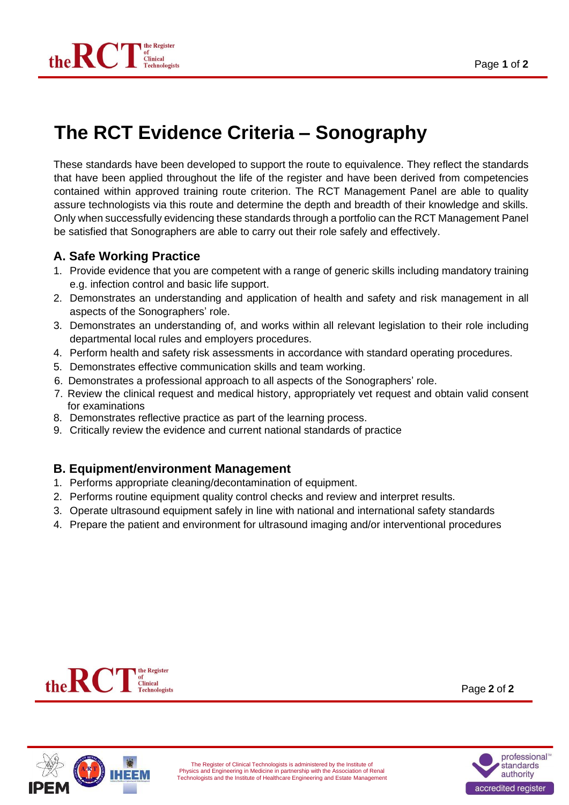

# **The RCT Evidence Criteria – Sonography**

These standards have been developed to support the route to equivalence. They reflect the standards that have been applied throughout the life of the register and have been derived from competencies contained within approved training route criterion. The RCT Management Panel are able to quality assure technologists via this route and determine the depth and breadth of their knowledge and skills. Only when successfully evidencing these standards through a portfolio can the RCT Management Panel be satisfied that Sonographers are able to carry out their role safely and effectively.

#### **A. Safe Working Practice**

- 1. Provide evidence that you are competent with a range of generic skills including mandatory training e.g. infection control and basic life support.
- 2. Demonstrates an understanding and application of health and safety and risk management in all aspects of the Sonographers' role.
- 3. Demonstrates an understanding of, and works within all relevant legislation to their role including departmental local rules and employers procedures.
- 4. Perform health and safety risk assessments in accordance with standard operating procedures.
- 5. Demonstrates effective communication skills and team working.
- 6. Demonstrates a professional approach to all aspects of the Sonographers' role.
- 7. Review the clinical request and medical history, appropriately vet request and obtain valid consent for examinations
- 8. Demonstrates reflective practice as part of the learning process.
- 9. Critically review the evidence and current national standards of practice

#### **B. Equipment/environment Management**

- 1. Performs appropriate cleaning/decontamination of equipment.
- 2. Performs routine equipment quality control checks and review and interpret results.
- 3. Operate ultrasound equipment safely in line with national and international safety standards
- 4. Prepare the patient and environment for ultrasound imaging and/or interventional procedures



Page **2** of **2**



The Register of Clinical Technologists is administered by the Institute of Physics and Engineering in Medicine in partnership with the Association of Renal Technologists and the Institute of Healthcare Engineering and Estate Management